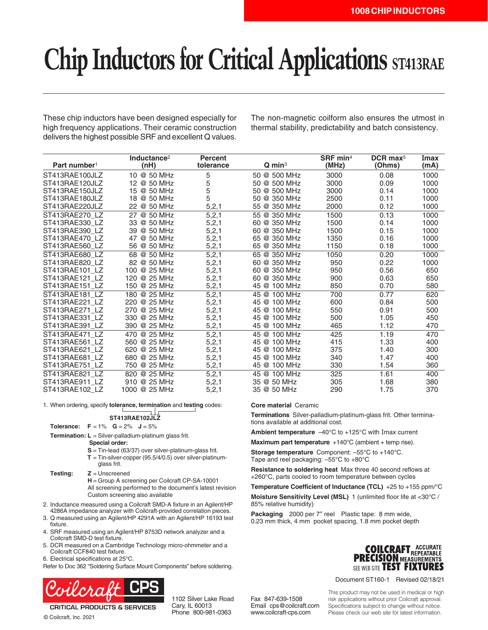# **Chip Inductors for Critical Applications ST413RAE**

These chip inductors have been designed especially for high frequency applications. Their ceramic construction delivers the highest possible SRF and excellent Q values. The non-magnetic coilform also ensures the utmost in thermal stability, predictability and batch consistency.

|                          | Inductance <sup>2</sup> | <b>Percent</b> |                      | $S$ RF min <sup>4</sup> | $DCR$ max <sup>5</sup> | Imax |
|--------------------------|-------------------------|----------------|----------------------|-------------------------|------------------------|------|
| Part number <sup>1</sup> | (nH)                    | tolerance      | $Q$ min <sup>3</sup> | (MHz)                   | (Ohms)                 | (mA) |
| ST413RAE100JLZ           | 10 @ 50 MHz             | 5              | 50 @ 500 MHz         | 3000                    | 0.08                   | 1000 |
| ST413RAE120JLZ           | @ 50 MHz<br>12          | 5              | 50 @ 500 MHz         | 3000                    | 0.09                   | 1000 |
| ST413RAE150JLZ           | @ 50 MHz<br>15          | 5              | 50 @ 500 MHz         | 3000                    | 0.14                   | 1000 |
| ST413RAE180JLZ           | 18<br>@ 50 MHz          | 5              | @ 350 MHz<br>50      | 2500                    | 0.11                   | 1000 |
| ST413RAE220JLZ           | @ 50 MHz<br>22          | 5,2,1          | @ 350 MHz<br>55      | 2000                    | 0.12                   | 1000 |
| ST413RAE270_LZ           | @ 50 MHz<br>27          | 5, 2, 1        | 55 @ 350 MHz         | 1500                    | 0.13                   | 1000 |
| ST413RAE330 LZ           | @ 50 MHz<br>33          | 5, 2, 1        | 60 @ 350 MHz         | 1500                    | 0.14                   | 1000 |
| ST413RAE390 LZ           | 39<br>@ 50 MHz          | 5, 2, 1        | 60 @ 350 MHz         | 1500                    | 0.15                   | 1000 |
| ST413RAE470 LZ           | 47<br>@ 50 MHz          | 5, 2, 1        | @ 350 MHz<br>65      | 1350                    | 0.16                   | 1000 |
| ST413RAE560 LZ           | @ 50 MHz<br>56          | 5,2,1          | @ 350 MHz<br>65      | 1150                    | 0.18                   | 1000 |
| ST413RAE680_LZ           | @ 50 MHz<br>68          | 5, 2, 1        | 65 @ 350 MHz         | 1050                    | 0.20                   | 1000 |
| ST413RAE820 LZ           | 82<br>@ 50 MHz          | 5,2,1          | 60 @ 350 MHz         | 950                     | 0.22                   | 1000 |
| ST413RAE101 LZ           | 100<br>@ 25 MHz         | 5, 2, 1        | @ 350 MHz<br>60      | 950                     | 0.56                   | 650  |
| ST413RAE121 LZ           | @ 25 MHz<br>120         | 5, 2, 1        | 60 @ 350 MHz         | 900                     | 0.63                   | 650  |
| ST413RAE151 LZ           | 150 @ 25 MHz            | 5, 2, 1        | 45 @ 100 MHz         | 850                     | 0.70                   | 580  |
| ST413RAE181 LZ           | 180 @ 25 MHz            | 5, 2, 1        | 45 @ 100 MHz         | 700                     | 0.77                   | 620  |
| ST413RAE221 LZ           | 220<br>@ 25 MHz         | 5, 2, 1        | 45 @ 100 MHz         | 600                     | 0.84                   | 500  |
| ST413RAE271 LZ           | @ 25 MHz<br>270         | 5, 2, 1        | 45 @ 100 MHz         | 550                     | 0.91                   | 500  |
| ST413RAE331 LZ           | 330 @ 25 MHz            | 5,2,1          | 45 @ 100 MHz         | 500                     | 1.05                   | 450  |
| ST413RAE391 LZ           | @ 25 MHz<br>390         | 5, 2, 1        | 45 @ 100 MHz         | 465                     | 1.12                   | 470  |
| ST413RAE471 LZ           | @ 25 MHz<br>470         | 5, 2, 1        | 45 @ 100 MHz         | 425                     | 1.19                   | 470  |
| ST413RAE561 LZ           | 560<br>@ 25 MHz         | 5, 2, 1        | 45<br>@ 100 MHz      | 415                     | 1.33                   | 400  |
| ST413RAE621 LZ           | @ 25 MHz<br>620         | 5,2,1          | 45 @ 100 MHz         | 375                     | 1.40                   | 300  |
| ST413RAE681 LZ           | 680 @ 25 MHz            | 5, 2, 1        | 45 @ 100 MHz         | 340                     | 1.47                   | 400  |
| ST413RAE751 LZ           | 750<br>@ 25 MHz         | 5, 2, 1        | 45 @ 100 MHz         | 330                     | 1.54                   | 360  |
| ST413RAE821 LZ           | 820<br>@ 25 MHz         | 5, 2, 1        | 45 @ 100 MHz         | 325                     | 1.61                   | 400  |
| ST413RAE911 LZ           | 910 @ 25 MHz            | 5, 2, 1        | 35 @ 50 MHz          | 305                     | 1.68                   | 380  |
| ST413RAE102 LZ           | 1000 @ 25 MHz           | 5,2,1          | 35 @ 50 MHz          | 290                     | 1.75                   | 370  |

1. When ordering, specify **tolerance, termination** and **testing** codes:

## **ST413RAE102JLZ**

**Tolerance:**  $F = 1\%$   $G = 2\%$   $J = 5\%$ 

**Termination: L** = Silver-palladium-platinum glass frit.

**Special order:**

- **S** = Tin-lead (63/37) over silver-platinum-glass frit.
- **T** = Tin-silver-copper (95.5/4/0.5) over silver-platinumglass frit.

**Testing: Z** = Unscreened **H** = Group A screening per Coilcraft CP-SA-10001 All screening performed to the document's latest revision Custom screening also available

- 2. Inductance measured using a Coilcraft SMD-A fixture in an Agilent/HP 4286A impedance analyzer with Coilcraft-provided correlation pieces.
- 3. Q measured using an Agilent/HP 4291A with an Agilent/HP 16193 test fixture.
- 4. SRF measured using an Agilent/HP 8753D network analyzer and a Coilcraft SMD-D test fixture.
- 5. DCR measured on a Cambridge Technology micro-ohmmeter and a Coilcraft CCF840 test fixture.
- 6. Electrical specifications at 25°C.

© Coilcraft, Inc. 2021

Refer to Doc 362 "Soldering Surface Mount Components" before soldering.



**CRITICAL PRODUCTS & SERVICES** 

1102 Silver Lake Road Cary, IL 60013 Phone 800-981-0363

**Core material** Ceramic

**Terminations** Silver-palladium-platinum-glass frit. Other terminations available at additional cost.

**Ambient temperature** –40°C to +125°C with Imax current

**Maximum part temperature** +140°C (ambient + temp rise).

**Storage temperature** Component: –55°C to +140°C. Tape and reel packaging: –55°C to +80°C

**Resistance to soldering heat** Max three 40 second reflows at +260°C, parts cooled to room temperature between cycles

**Temperature Coefficient of Inductance (TCL)** +25 to +155 ppm/°C

**Moisture Sensitivity Level (MSL)** 1 (unlimited floor life at <30°C / 85% relative humidity)

**Packaging** 2000 per 7″ reel Plastic tape: 8 mm wide, 0.23 mm thick, 4 mm pocket spacing, 1.8 mm pocket depth



Document ST160-1 Revised 02/18/21

Fax 847-639-1508 Email cps@coilcraft.com www.coilcraft-cps.com

This product may not be used in medical or high risk applications without prior Coilcraft approval. Specifications subject to change without notice. Please check our web site for latest information.